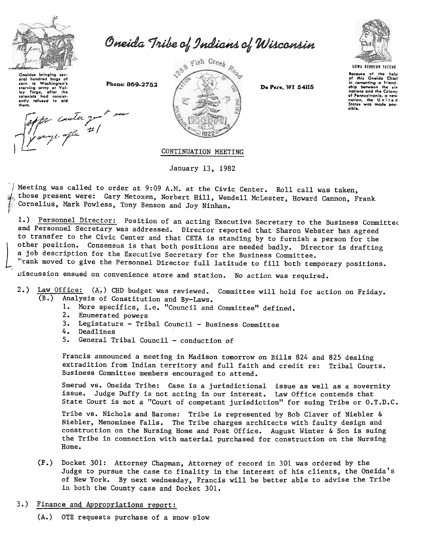

Oneida Tribe of Indians of Wisconsin

Oneidas bringing sev eral hundred hoos of eral hunared buyer<br>starving army at Va<br>lov Forge, after the Volby forge, after the<br>colonists had consistently refused to aid<br>them.

apper conter que a su

Phone: 869-2752



De Pere, WI 54115



Because of the help<br>of this Oneida Chief in comenting a friend-<br>ship between the six nations and the Colony of Pennsylvania, a new States was made pos sible.

## CONTINUATION MEETING

January 13, 1982

Meeting was called to order at 9:09 A.M. at the Civic Center. Roll call was taken, those present were: Gary Metoxen, Norbert Hill, Wendell McLester, Howard Cannon, Frank Cornelius, Mark Powless, Tony Benson and Joy Ninham.

1.) Personnel Director: Position of an acting Executive Secretary to the Business Committee and Personnel Secretary was addressed. Director reported that Sharon Webster has agreed to transfer to the Civic Center and that CETA is standing by to furnish a person for the other position. Consensus is that both positions are needed badly. Director is drafting a job description for the Executive Secretary for the Business Committee.

"rank moved to give the Personnel Director full latitude to fill both temporary positions.

Discussion ensued on convenience store and station. No action was required.

- $2.$ Law Office: (A,) CHD budget was reviewed. Committee will hold for action on Friday.  $(B_*)$ Analysis of Constitution and By-Laws.
	- 1. More specifics, i.e. "Council and Committee" defined.
	- 2. Enumerated powers
	- 3. Legistature Tribal Council Business Committee
	- 4. Deadlines
	- 5. General Tribal Council conduction of

Francis announced a meeting in Madison tomorrow on Bills 824 and 825 dealing extradition from Indian territory and full faith and credit re: Tribal Courts. Business Committee members encouraged to attend.

Smerud vs. Oneida Tribe: Case is a jurisdictional issue as well as a sovernity issue. Judge Duffy is not acting in our interest. Law Office contends that State Court is not a "Court of competant jurisdiction" for suing Tribe or O.T.D.C.

Tribe vs. Nichols and Barone: Tribe is represented by Bob Claver of Niebler & Niebler, Menominee Falls. The Tribe charges architects with faulty design and construction on the Nursing Home and Post Office. August Winter & Son is suing the Tribe in connection with material purchased for construction on the Nursing Home:

 $(F_{\bullet})$ Docket 301: Attorney Chapman, Attorney of record in 301 was ordered by the Judge to pursue the case to finality in the interest of his clients, the Oneida's of New York. By next wednesday, Francis will be better able to advise the Tribe in both the County case and Docket 301.

## 3.) Finance and Appropriations report:

(A.) OTE requests purchase of a snow plow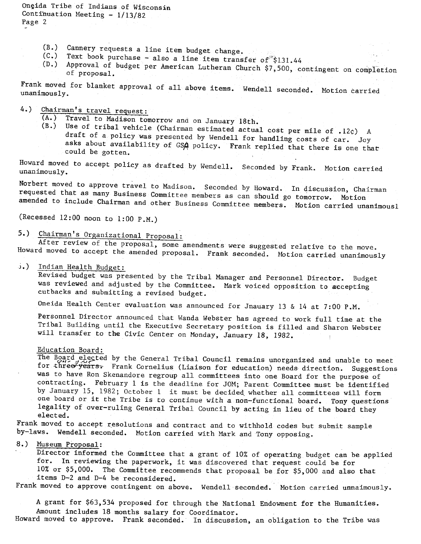Oneida Tribe of Indians of Wisconsin Continuation Meeting  $-1/13/82$ Page 2

- $(B.)$  Cannery requests a line item budget change.<br> $(C.)$  Text book purchase also a line its .
- Text book purchase also a line item transfer of  $$131.44$
- (D.) Approval of budget per American Lutheran Church \$7,500, contingent on completion of proposal.

Frank moved for blanket approval of all above items. Wendell seconded. Motion carried unanimously.

4.)  $\frac{\text{Chairman's travel request:}}{(\text{A.}) \quad \text{Travel to Madison for}}$ 

- Travel to Madison tomorrow and on January 18th.
- $(B.)$  Use of tribal vehicle (Chairman estimated actual cost per mile of .12 $\varphi$ ) A draft of a policy was presented by lvendell for handling costs of car. Joy asks about availability of GSA policy. Frank replied that there is one that could be gotten.

Howard moved to accept policy as drafted by Wendell. Seconded by Frank. Motion carried unanimously.

Norbert moved to approve travel to Madison. Seconded by Howard. In discussion, Chairman requested that as many Business Committee members as can should go tomorrow. Motion amended to include Chairman and other Business Committee members. Motion carried unanimousl

(Recessed 12:00 noon to 1:00 P.M.)

5.) Chairman's Organizational Proposal:

After review of the proposal, some amendments were suggested relative to the move. Howard moved to accept the amended proposal. Frank seconded. Motion carried unanimously

Indian Health Budget:

Revised budget was presented by the Tribal Manager and Personnel Director. Budget was reviewed and adjusted by the Committee. Mark voiced opposition to accepting cutbacks and submitting a revised budget.

Oneida Health Center evaluation was announced for Jnauary 13 & 14 at 7:00 P.M.

Personnel Director announced that Wanda Webster has agreed to work full time at the Tribal Building until the Executive Secretary position is filled and Sharon Webster will transfer to the Civic Center on Monday, January 18, 1982.

## Education Board:

The Board elected by the General Tribal Council remains unorganized and unable to meet for three years. Frank Cornelius (Liaison for education) needs direction. Suggestions was to have Ron Skenandore regroup all committees into one Board for the purpose of contracting. February 1 is the deadline for JOM; Parent Committee must be identified by January 15, 1982; October 1 it must be decided. whether all committees will form one board or it the Tribe is to continue with a non-functional board. Tony questions legality of over-ruling General Tribal Council by acting in lieu of the board they elected.

Frank moved to accept resolutions and contract and to withhold codes but submit sample by-laws. Wendell seconded. Motion carried with Mark and Tony opposing.

## 8.) Museum Proposal:

.Director informed the Committee that a grant of 10% of operating budget can be applied for. In reviewing the paperwork, it was discovered that request could be for iO%or \$5,000. The Committee recommends that proposal be for \$5,000 and also that items D-2 and D-4 be reconsidered.

Frank moved to approve contingent on above. Wendell seconded. Motion carried unnaimously.

A grant for \$63,534 proposed for through the National Endowment for the Humanities. Amount includes 18 months salary for Coordinator.

Howard moved to approve. Frank seconded. In discussion, an obligation to the Tribe was